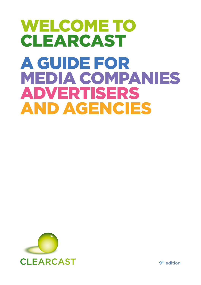# WELCOME TO CLEARCAST A GUIDE FOR MEDIA COMPANIES ADVERTISERS AND AGENCIES



9th edition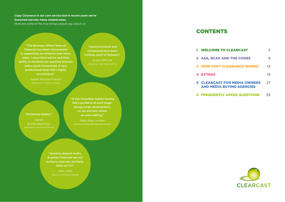### **Copy Clearance is our core service but in recent years we've branched out into many related areas.**

Here are some of the nice things people say about us:

"The Business Affairs Team at Clearcast has been instrumental in supporting our projects over many years. I value their advice and their ability to facilitate our approval process with a quick turnaround. A very professional team that I highly recommend."

"Communication and turnaround have been nothing short of fantastic" Arran, DMS UK

Gaelle, Revitive France *About our TV Admin service*

### "Extremely helpful."

Lauren, British Red Cross *Advertiser Certificate training* "It was incredibly helpful having Seb's guidance at each stage; during script development, on set and also whilst we were editing."

A*bout our Copy Development service*

"Good to debunk myths & realise Clearcast are not trying to stop ads, but keep them on TV!"

John, AMV

### **CONTENTS**

| <b>1 WELCOME TO CLEARCAST</b>                                           |    |
|-------------------------------------------------------------------------|----|
| <b>2 ASA, BCAP AND THE CODES</b>                                        |    |
| <b>3 HOW COPY CLEARANCE WORKS</b>                                       | 13 |
| <b>4 EXTRAS</b>                                                         | 19 |
| <b>5 CLEARCAST FOR MEDIA OWNERS</b><br><b>AND MEDIA BUYING AGENCIES</b> | 27 |

**6 [FREQUENTLY ASKED QUESTIONS](#page-14-0)** 29

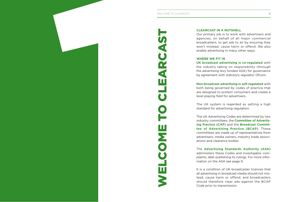<span id="page-2-0"></span>

### **CLEARCAST IN A NUTSHELL**

Our primary job is to work with advertisers and agencies, on behalf of all major commercial broadcasters, to get ads to air by ensuring they won't mislead, cause harm or offend. We also enable advertising in many other ways.

### **WHERE WE FIT IN**

**UK broadcast advertising is co-regulated** with the industry taking on responsibility (through the advertising levy funded ASA) for governance by agreement with statutory regulator Ofcom.

**Non-broadcast advertising is self-regulated** with both being governed by codes of practice that are designed to protect consumers and create a level playing field for advertisers.

The UK system is regarded as setting a high standard for advertising regulation.

The UK Advertising Codes are determined by two industry committees: the **Committee of Advertising Practice (CAP)** and the **Broadcast Committee of Advertising Practice (BCAP)**. These committees are made up of representatives from advertisers, media owners, industry trade associations and clearance bodies

The **Advertising Standards Authority (ASA)** administers these Codes and investigates complaints, later publishing its rulings. For more information on the ASA [see page 9.](#page-4-0)

It is a condition of UK broadcaster licences that all advertising in broadcast media should not mislead, cause harm or offend, and broadcasters Code prior to transmission.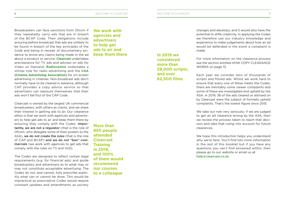Broadcasters can face sanctions from Ofcom if they repeatedly carry ads that are in breach of the BCAP Code. Their obligations include ensuring before broadcast that ads are unlikely to be found in breach of the key principles of the Code and being in receipt of documentary evidence to prove any claims being made in the ad about a product or service. **Clearcast** undertakes preclearance for TV ads and advises on ads for Video on Demand. **Radiocentre** undertakes a similar role for radio advertising and the **CAA (Cinema Advertising Association)** for on-screen advertising in cinemas. Non-broadcast ads don't normally have to be cleared in advance, although CAP provides a copy advice service so that advertisers can reassure themselves that their ads won't fall foul of the CAP Code.

Clearcast is owned by the largest UK commercial broadcasters, with others as clients, and we share their interest in getting ads to air. Our clearance ethos is that we work with agencies and advertisers to help get ads to air and keep them there by ensuring they comply with the Codes. Importantly, we are not a regulator (that is the role of Ofcom, who delegate some of their powers to the ASA), we do not create the rules (that is the role of CAP and BCAP) and we do not "ban" commercials (we work with agencies to get ads that comply with the rules on TV and VoD).

The Codes are designed to reflect certain legal requirements (e.g. for financial ads) and guide broadcasters and advertisers as to what may or may not constitute acceptable advertising. The Codes do not, and cannot, fully prescribe explicitly what can or cannot be done. This would be impractical as prescriptive Codes would require constant updates and amendments as society

**We work with agencies and advertisers to help get ads to air and keep them there**

**More than 850 people attended Clearcast Training in 2019, and 100% of them would recommend our courses to a colleague**

**In 2019 we considered more than 29,000 scripts, and over 62,500 films**

changes and develops, and it would also have the potential to stifle creativity. In applying the Codes we therefore use our industry knowledge and experience to make judgements about how an ad would be defended in the event a complaint is made.

For more information on the clearance process see the section entitled HOW COPY CLEARANCE WORKS [on page 13.](#page-6-0)

Each year we consider tens of thousands of scripts and filmed ads. Whilst we work hard to ensure that every one of these meets the Codes, there are inevitably some viewer complaints and some of these are investigated and upheld by the ASA. in 2019, 38 of the ads cleared or advised on by Clearcast were the subject of formally upheld complaints. That's the lowest figure since 2015.

We take our role very seriously; if we are judged to get an ad clearance wrong by the ASA, then we review the process taken to reach that decision and take that ruling into account for future clearances.

We hope this introduction helps you understand why we're here. You'll find lots more information in the rest of this booklet but if you have any questions you can't find answered within, then please go to our website or email us at: [help@clearcast.co.uk](mailto:help%40clearcast.co.uk?subject=).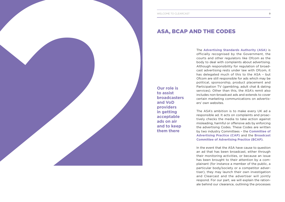**to assist broadcasters and VoD providers in getting acceptable ads on air and to keep them there**

<span id="page-4-0"></span>The **Advertising Standards Authority (ASA)** is officially recognised by the Government, the courts and other regulators like Ofcom as the body to deal with complaints about advertising. Although responsibility for regulation of broadcast advertising rests under law with Ofcom, it has delegated much of this to the ASA – but Ofcom are still responsible for ads which may be political, sponsorship, product placement and Participation TV (gambling, adult chat & dating services). Other than this, the ASA's remit also includes non-broadcast ads and extends to cover certain marketing communications on advertisers' own websites. ASA, BCAP AND THE CODES<br>
The Assembly State of the More than the Counter of the Assembly State of the Assembly State of the Assembly State of the Control of the Counter of the More than the Assembly control of the Assembly

The ASA's ambition is to make every UK ad a responsible ad. It acts on complaints and proactively checks the media to take action against misleading, harmful or offensive ads by enforcing the advertising Codes. These Codes are written by two industry Committees – the **Committee of Advertising Practice (CAP)** and the **Broadcast Committee of Advertising Practice (BCAP)**.

In the event that the ASA have cause to question an ad that has been broadcast, either through their monitoring activities, or because an issue has been brought to their attention by a complainant (for instance a member of the public, a particular body/society or a competitor advertiser), they may launch their own investigation and Clearcast and the advertiser will jointly respond. For our part, we will explain the rationale behind our clearance, outlining the processes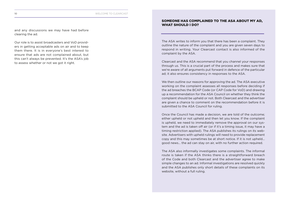and any discussions we may have had before clearing the ad.

Our role is to assist broadcasters and VoD providers in getting acceptable ads on air and to keep them there. It is in everyone's best interest to ensure that ads are not complained about, but this can't always be prevented. It's the ASA's job to assess whether or not we got it right.

### SOMEONE HAS COMPLAINED TO THE ASA ABOUT MY AD, WHAT SHOULD I DO?

The ASA writes to inform you that there has been a complaint. They outline the nature of the complaint and you are given seven days to respond in writing. Your Clearcast contact is also informed of the complaint by the ASA.

Clearcast and the ASA recommend that you channel your responses through us. This is a crucial part of the process and makes sure that we're aware of all arguments put forward in defence of the particular ad; it also ensures consistency in responses to the ASA.

We then outline our reasons for approving the ad. The ASA executive working on the complaint assesses all responses before deciding if the ad breaches the BCAP Code (or CAP Code for VoD) and drawing up a recommendation for the ASA Council on whether they think the complaint should be upheld or not. Both Clearcast and the advertiser are given a chance to comment on the recommendation before it is submitted to the ASA Council for ruling.

Once the Council has made a decision, we are told of the outcome; either upheld or not upheld and then let you know. If the complaint is upheld, we need to immediately remove the approval on our system and the ad is taken off air (or if it's a timing issue, it may have a timing restriction applied). The ASA publishes its rulings on its website. Advertisers with upheld rulings will need to provide replacement copy and this may sometimes be at short notice. If it is not upheld… good news… the ad can stay on air, with no further action required.

The ASA also informally investigates some complaints. The informal route is taken if the ASA thinks there is a straightforward breach of the Code and both Clearcast and the advertiser agree to make simple changes to an ad. Informal investigations are resolved quickly and the ASA publishes only short details of these complaints on its website, without a full ruling.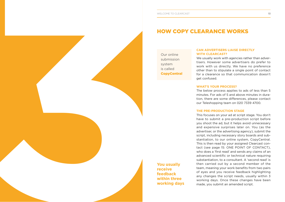### HOW COPY CLEARANCE WORKS

Our online submission system is called **CopyCentral** 

**You usually receive feedback within three working days**

## **WITH CLEARCAST?**

We usually work with agencies rather than advertisers. However some advertisers do prefer to work with us directly. We have no preference other than to stipulate a single point of contact for a clearance so that communication doesn't get confused.

### **WHAT'S YOUR PROCESS?**

The below process applies to ads of less than 5 minutes. For ads of 5 and above minutes in duration, there are some differences, please contact our Teleshopping team on 020 7339 4700.

### **THE PRE-PRODUCTION STAGE**

<span id="page-6-0"></span>**HOWEVER CONFIRMED BY CONFIRMED THE REPRESENTATION CONFIRMED TO CLEAR AND CONFIRMED TO CLEAR AND CONFIRMED TO CLEAR AND CONFIRMED TO CLEAR AND CONFIRMED TO CLEAR AND CONFIRMED TO CLEAR AND CLEAR AND CLEAR AND CLEAR AND CL** This focuses on your ad at script stage. You don't have to submit a pre-production script before you shoot the ad, but it helps avoid unnecessary and expensive surprises later on. You (as the advertiser, or the advertising agency), submit the script, including necessary story boards and substantiation, to our online system, CopyCentral. This is then read by your assigned Clearcast contact [\(see page 15: ONE POINT OF CONTACT](#page-7-0)), who does a 'first read' and sends any claims of an advanced scientific or technical nature requiring substantiation, to a consultant. A 'second read' is then carried out by a second member of the team, meaning your work benefits from two pairs of eyes and you receive feedback highlighting any changes the script needs, usually within 3 working days. Once these changes have been made, you submit an amended script.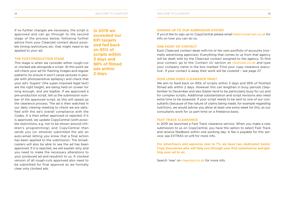<span id="page-7-0"></span>If no further changes are necessary, the script is approved and can go through to the second stage of the process below, following further advice from your Clearcast contact about possible timing restrictions etc. that might need to be applied to your ad.

### **THE POST-PRODUCTION STAGE**

This stage is when we consider either rough-cut or clocked ads alongside a script. At this point we will check your ad for flashing images and regular patterns (to ensure it won't cause seizures in people with photosensitive epilepsy) and check that your ad's 'Supers' (the super-imposed legal text) are the right height, are being held on screen for long enough, and are legible. If we approved a pre-production script, tell us the submission number of the approved script, as this will speed up the clearance process. The ad is then watched in our daily viewing meeting to check we are satisfied with the ad's overall compliance with the Codes. It is then either approved or rejected. If it is approved, we update CopyCentral (with possible restrictions, e.g. not to be shown around children's programming) and CopyCentral then sends you (or whoever submitted the ad) an auto-email letting you know that a final action has been applied to the submission. The broadcasters will also be able to see the ad has been approved. If it is rejected, we will explain why, and you need to make the necessary alterations to your produced ad and resubmit to us. A clocked version of all rough-cuts approved also need to be submitted for final approval as we formally clear only clocked ads.

**In 2019 we exceeded our KPI targets and fed back on 95% of scripts within 3 days and 98% of filmed ads within 2 days.**

### **SIGNING UP TO OUR SUBMISSION SYSTEM**

If you'd like to sign up to CopyCentral please email [help@clearcast.co.uk](mailto:help%40clearcast.co.uk?subject=) for info on how you can do so.

### **ONE POINT OF CONTACT**

Each Clearcast contact deals with his or her own portfolio of accounts (normally advertising agencies). Everything that comes to us from that agency will be dealt with by the Clearcast contact assigned to the agency. To find your contact, go to the 'Contact Us' section on [clearcast.co.uk](https://www.clearcast.co.uk/) and type your company name in the box marked 'Find your copy clearance executive'. If your contact is away their work will be covered – see page 27.

### **HOW LONG DOES CLEARANCE TAKE?**

We aim to feed back on 85% of scripts within 3 days and 95% of finished filmed ads within 2 days. However this can lengthen in busy periods (September to December and also Easter tend to be particularly busy for us) and for complex scripts. Additional substantiation and script revisions also need extra time to be assessed. If your script needs to be sent to one of our consultants (because of the nature of claims being made, for example regarding nutrition), we would advise you allow at least one extra week for this, as our consultants work for us part-time on a freelance basis.

### **FAST TRACK CLEARANCE**

In 2019 we launched a Fast Track clearance service. When you make a new submission to us on CopyCentral, you have the option to select Fast Track and receive feedback within one working day. A fee is payable for this service; see EXTRAS on p19 for more info.

**For advertisers and agencies new to TV, we have two dedicated Senior Copy Executives who will help you through your first submissions and getting your ad to air.**

Search 'new' on [clearcast.co.uk](https://www.clearcast.co.uk/) for more info.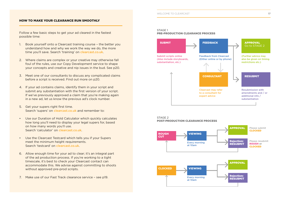### HOW TO MAKE YOUR CLEARANCE RUN SMOOTHLY

Follow a few basic steps to get your ad cleared in the fastest possible time:

- 1. Book yourself onto a Clearcast training course the better you understand how and why we work the way we do, the more time you'll save. Search 'training' on [clearcast.co.uk](https://www.clearcast.co.uk/).
- 2. Where claims are complex or your creative may otherwise fall foul of the rules, use our Copy Development service to shape your concepts and creative and nip issues in the bud. See p20.
- 3. Meet one of our consultants to discuss any complicated claims before a script is received. Find out more on p20.
- 4. If your ad contains claims, identify them in your script and submit any substantiation with the first version of your script. If we've previously approved a claim that you're making again in a new ad, let us know the previous ad's clock number.
- 5. Get your supers right first time. Search 'supers' on [clearcast.co.uk](https://www.clearcast.co.uk/) and remember to:
- Use our Duration of Hold Calculator which quickly calculates how long you'll need to display your legal supers for, based on how many words you'll use. Search 'calculator' on [clearcast.co.uk](https://www.clearcast.co.uk/).
- Use the Clearcast Testcard which tells you if your Supers meet the minimum height requirements. Search 'testcard' on [clearcast.co.uk](https://www.clearcast.co.uk/).
- 6. Allow enough time for your ad to clear; it's an integral part of the ad production process. If you're working to a tight timescale, it's best to check your Clearcast contact can accommodate this. We advise against committing to shoots without approved pre-prod scripts.
- 7. Make use of our Fast Track clearance service – [see p19](#page-9-0).

### STAGE 1

### PRE-PRODUCTION CLEARANCE PROCESS



### STAGE 2 POST-PRODUCTION CLEARANCE PROCESS

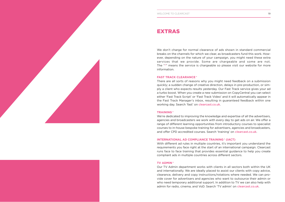<span id="page-9-0"></span>

### EXTRAS

breaks on the channels for which we clear, as broadcasters fund this work. However, depending on the nature of your campaign, you might need these extra services that we provide. Some are chargeable and some are not. The "**+**" means the service is chargeable so please visit our website for more information.

### **FAST TRACK CLEARANCE +**

There are all sorts of reasons why you might need feedback on a submission quickly; a sudden change of creative direction, delays in pre-production, or simply a client who expects results yesterday. Our Fast Track service gives your ad a turbo boost. When you create a new submission on CopyCentral you can select either 'Fast Track Script' or 'Fast Track Video' and it will automatically appear in the Fast Track Manager's inbox, resulting in guaranteed feedback within one working day. Search 'fast' on [clearcast.co.uk](http://clearcast.co.uk).

### **TRAINING +**

We're dedicated to improving the knowledge and expertise of all the advertisers, agencies and broadcasters we work with every day to get ads on air. We offer a range of different learning opportunities from introductory courses to specialist courses to in-house bespoke training for advertisers, agencies and broadcasters, and offer CPD accredited courses. Search 'training' on [clearcast.co.uk](http://clearcast.co.uk).

### **INTERNATIONAL AD COMPLIANCE TRAINING \* (IACT)**

With different ad rules in multiple countries, it's important you understand the requirements you face right at the start of an international campaign. Clearcast runs face to face training that provides essential guidance to help you create compliant ads in multiple countries across different sectors.

### **TV ADMIN +**

Our TV Admin department works with clients in all sectors both within the UK and internationally. We are ideally placed to assist our clients with copy advice, clearance, delivery and copy instructions/rotations where needed. We can provide cover for advertisers and agencies who want to outsource their admin or who need temporary additional support. In addition to TV we can also help with admin for radio, cinema, and VoD. Search 'TV admin' on [clearcast.co.uk](http://clearcast.co.uk).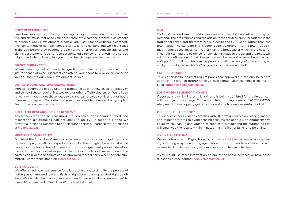Save time, money and stress by involving us as you shape your concepts, creative and claims so that once your ad is ready, the clearance process is as smooth as possible. Copy Development is particularly useful for advertisers in competitive, contentious or complex areas. Start talking to us early and we'll nip issues in the bud before they become problems. We offer expert concept advice and claims assessment, face-to-face sessions, edit review and anything else you might need whilst developing your copy. Search 'copy' on [clearcast.co.uk](http://clearcast.co.uk).

### **ON SET GUIDANCE +**

Where there may be last minute changes to an approved script, improvisation or just for peace of mind, Clearcast can attend your shoot to provide guidance as you go. Book via our Copy Development service.

### **OUT OF HOURS AND LIVE CLEARANCES +**

Increasing numbers of ads take the traditional spot to new levels of creativity and some of these require live, weekend or other off-site clearances. We're keen to work with you to get these ideas to air and can provide services out of hours to make this happen. Do contact us as early as possible so we can help you plan. Search 'live' on [clearcast.co.uk](http://clearcast.co.uk).

### **PITCH AND RESEARCH SCRIPT REVIEW +**

Advertisers want to be reassured that creative ideas being pitched and researched by agencies can actually run on TV. To meet this need we provide a Pitch and Research Script clearance service. Search 'pitch' on our site at [clearcast.co.uk](http://clearcast.co.uk).

### **MEET THE CONSULTANTS +**

Our 'Meet the Consultants' sessions allow advertisers to discuss ongoing work or future campaigns with our expert consultants. This is highly beneficial if an ad contains complex technical claims or promotes significant product developments. It can also be used as part of the process to clear claims early on in the advertising process so scripts can be approved more quickly when they are submitted. Search 'consultant' on [clearcast.co.uk](http://clearcast.co.uk).

### **EDIT TO CLEAR +**

We offer an edit-to-clear service for clients who want to simplify the process of getting super imposed text and flashing right, or who are up against tight deadlines. We can also help advertisers who need international ads re-versioned to meet UK requirements. Search 'edit' on [clearcast.co.uk](http://clearcast.co.uk).

### **VoD**

VoD is Video on Demand and covers services like ITV Hub, All 4 and Sky on Demand. The programmes and the ads on these services aren't broadcast in the traditional sense and therefore are subject to the CAP Code, rather than the BCAP code. The standard in this code is slightly different to the BCAP Code in that it requires the advertiser (rather than the broadcaster which is the case for linear ads) to hold the evidence for any claims made in the ad and Clearcast will ask for a confirmation of that. Please be aware however that some broadcasters' VoD platforms will require linear approval so tell us when you're submitting an ad if you want it review for VoD only or for both linear and VoD.

### **LATE CLEARANCE +**

This is a service for ads that require provisional approval but can only be sent to us late in the day. For further details, please contact your clearance executive or email [enquiries@clearcast.co.uk](mailto:enquiries%40clearcast.co.uk?subject=).

### **LONG-FORM TELESHOPPING ADS +**

If your ad is over 5 minutes in length and is being submitted for the first time, it will be subject to a charge. Contact our Teleshopping team on 020 7339 4700. Also, search 'teleshopping guide' on our website to view our useful booklet.

### **ONLINEFLASHTEST.COM +**

This service checks your ad complies with Ofcom's guidelines on flashing images and regular patterns to avoid causing seizures for people with photosensitive epilepsy. You can upload your ad as soon as it is ready and the automated test will email you the results within minutes. It is the first of its kind to be online.

### **ONLINE SUBTITLING**

We've partnered with Digital Nirvana to provide [subtitlenow.com](https://subtitlenow.com/), a service making subtitling easy by allowing agencies and post houses to upload an ad and receive back a file containing accurate subtitles a few minutes later.

If you would like more information on any of the above services, or have other questions please contact [help@clearcast.co.uk](mailto:help%40clearcast.co.uk?subject=).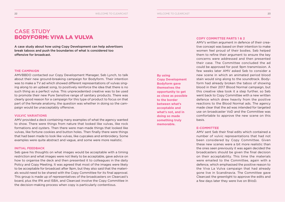### CASE STUDY BODYFORM: VIVA LA VULVA

A case study about how using Copy Development can help advertisers break taboos and push the boundaries of what is considered too offensive for broadcast.

### **THE CAMPAIGN**

AMVBBDO contacted our Copy Development Manager, Seb Lynch, to talk about their new ground-breaking campaign for Bodyform. Their intention was to make a TV ad which showed different representations of vulvas singing along to an upbeat song, to positively reinforce the idea that there is no such thing as a perfect vulva. This unprecedented creative was to be used to promote their new Pure Sensitive range of sanitary products. There was clearly good reason for a campaign for this type of product to focus on that part of the female anatomy, the question was whether in doing so the campaign would be unacceptably offensive.

### **VULVIC VARIATIONS**

AMV provided a deck containing many examples of what the agency wanted to show. There were things from nature that looked like vulvas, like rock formations and oysters. Then there were man-made things that looked like vulvas, like fortune cookies and button holes. Then finally there were things that had been made to look like vulvas, like cupcakes and embroidery. Some examples were quite abstract and vague, and some were more realistic.

### **INITIAL FEEDBACK**

Seb gave his thoughts on what images would be acceptable with a timing restriction and what images were not likely to be acceptable, gave advice on how to organise the deck and then presented it to colleagues in the daily Policy and Copy Meeting. It was agreed that most of the images were likely to be acceptable for broadcast after 9pm, but they also said that the materials would need to be shared with the Copy Committee for its final approval. This group is made up of representatives of the broadcasters on Clearcast's board, plus the IPA and ISBA, and Clearcast involve the Copy Committee in the decision-making process when copy is particularly contentious.

**By using Copy Development Bodyform gave themselves the opportunity to get as close as possible to the border between what's acceptable and what's not, and in doing so made something truly memorable.**

### **COPY COMMITTEE PARTS 1 & 2**

AMV's written argument in defence of their creative concept was based on their intention to make women feel proud of their bodies. Seb helped them to refine their argument to ensure the key concerns were addressed and then presented their case. The Committee concluded the ad could be approved for post 9pm transmission. A few weeks later AMV asked Seb to consider a new scene in which an animated period blood stain would sing along to the soundtrack. Bodyform had already broken the taboo of showing blood in their 2017 Blood Normal campaign, but this creative idea took it a step further, so Seb went back to Copy Committee with a new written defence which drew heavily from the positive reactions to the Blood Normal ads. The agency made clear that the ad was intended for targeted use on broadcaster VoD and the Committee was comfortable to approve the new scene on this basis.

### **E-COMMITTEE**

AMV sent Seb their final edits which contained a number of vulvic representations that had not been considered by Copy Committee. Given these new scenes were a bit more realistic than the ones seen previously it was again decided the broadcasters should be given the final decision on their acceptability. This time the materials were emailed to the Committee, again with a defence, which emphasised the positive reason to the Viva La Vulva campaign that had already gone live in Scandinavia. The Committee gave Clearcast the greenlight to approve the edits and a few days later they were live on BVoD.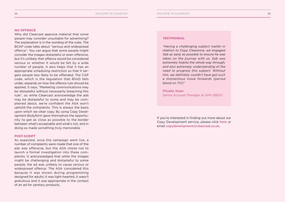### **NO OFFENCE**

Why did Clearcast approve material that some people may consider unsuitable for advertising? The explanation is in the wording of the rules. The BCAP code talks about "serious and widespread offence". You can argue that some people might consider the images distasteful or even offensive, but it's unlikely that offence would be considered serious or whether it would be felt by a wide number of people. It also helps that it has an appropriate scheduling restriction so that it targets people less likely to be offended. The CAP code, which is the regulation that BVoD falls under, expands on how the offence rule should be applied. It says, "Marketing communications may be distasteful without necessarily breaching this rule", so while Clearcast acknowledge the ads may be distasteful to some and may be complained about, we're confident the ASA won't uphold the complaints. This is always the basis upon which we clear copy. By using Copy Development Bodyform gave themselves the opportunity to get as close as possible to the border between what's acceptable and what's not, and in doing so made something truly memorable.

### **POST-SCRIPT**

As expected, once the campaign went live, a number of complaints were made that one of the ads was offensive, but the ASA chose not to launch a formal investigation into these complaints. It acknowledged that while the images might be challenging and distasteful to some people, the ad was unlikely to cause serious or widespread offence. The ASA considered this because it was shown during programming designed for adults, it was light-hearted, it wasn't gratuitous and it was appropriate in the context of an ad for sanitary products.

### **TESTIMONIAL**

*"Having a challenging subject matter in relation to Copy Clearance, we engaged Seb as early as possible to ensure he was taken on the journey with us. Seb was extremely helpful the whole way through, and also extremely understanding of the need to progress this subject. Without him, we definitely couldn't have got such a momentous move forwards (period blood on TV!)"*

Phoebe Swan Senior Account Manager at AMV BBDO

If you're interested in finding out more about our Copy Development service, please click [here](https://www.clearcast.co.uk/what-we-do/copy-development-pitching/copy-development/) or email [copydevelopment@clearcast.co.uk](mailto:copydevelopment%40clearcast.co.uk?subject=).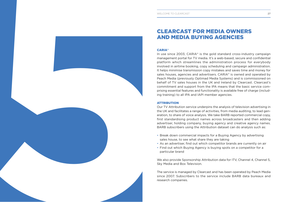### CLEARCAST FOR MEDIA OWNERS AND MEDIA BUYING AGENCIES

<span id="page-13-0"></span>We are the state of the state of the state of the state of the state of the state of the state of the state of the state of the state of the state of the state of the state of the state of the state of the state of the sta In use since 2003, CARIA® is the gold standard cross-industry campaign management portal for TV media. It's a web-based, secure and confidential platform which streamlines the administration process for everybody involved in airtime booking, copy scheduling and campaign administration. It helps minimise transmission copy mistakes and saves time and money for sales houses, agencies and advertisers. CARIA® is owned and operated by Peach Media (previously Optimad Media Systems) and is commissioned on behalf of TV sales houses in the UK and Ireland by Clearcast. Clearcast's commitment and support from the IPA means that the basic service comprising essential features and functionality is available free of charge (including training) to all IPA and IAPI member agencies.

### ATTRIBUTION

Our TV Attribution service underpins the analysis of television advertising in the UK and facilitates a range of activities, from media auditing, to lead generation, to share of voice analysis. We take BARB reported commercial copy, first standardising product names across broadcasters and then adding advertiser, holding company, buying agency and creative agency names. BARB subscribers using the Attribution dataset can do analysis such as:

- Break down commercial impacts for a Buying Agency by advertising sales house, to see what share they are taking
- As an advertiser, find out which competitor brands are currently on air
- Find out which Buying Agency is buying spots on a competitor for a particular brand

We also provide Sponsorship Attribution data for ITV, Channel 4, Channel 5, Sky Media and Box Television.

The service is managed by Clearcast and has been operated by Peach Media since 2007. Subscribers to the service include BARB data bureaux and research companies.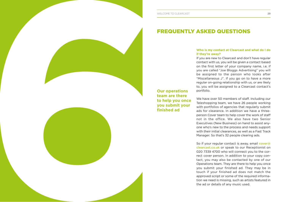### FREQUENTLY ASKED QUESTIONS

# **if they're away?**

If you are new to Clearcast and don't have regular contact with us, you will be given a contact based on the first letter of your company name, i.e. if you are called "Joe Bloggs Advertising" you will be assigned to the person who looks after "Miscellaneous J". If you go on to have a more regular on-going relationship with us, or are likely to, you will be assigned to a Clearcast contact's portfolio.

We have over 50 members of staff. Including our Teleshopping team, we have 26 people working with portfolios of agencies that regularly submit ads for clearance. In addition we have a threeperson Cover team to help cover the work of staff not in the office. We also have two Senior Executives (New Business) on hand to assist anyone who's new to the process and needs support with their initial clearances, as well as a Fast Track Manager. So that's 32 people clearing ads.

<span id="page-14-0"></span>**EXAMPLE TO CLEARCAST 29 <b>6 We have seen at Clearcast and when the clear of clear and what do I do**  $\frac{1}{2}$  **when**  $\frac{1}{2}$  **when**  $\frac{1}{2}$  **when**  $\frac{1}{2}$  **when**  $\frac{1}{2}$  **when**  $\frac{1}{2}$  **when**  $\frac{1}{2}$  **when**  $\frac{1}{2}$  **when** So if your regular contact is away, email [cover@](mailto:cover%40clearcast.co.uk?subject=) [clearcast.co.uk](mailto:cover%40clearcast.co.uk?subject=) or speak to our Receptionist on 020 7339 4700 who will connect you to the correct cover person. In addition to your copy contact, you may also be contacted by one of our Operations team. They are there to help you once you submit your finished ad. They may be in touch if your finished ad does not match the approved script or some of the required information we need is missing, such as artists featured in the ad or details of any music used.

**Our operations team are there to help you once you submit your finished ad**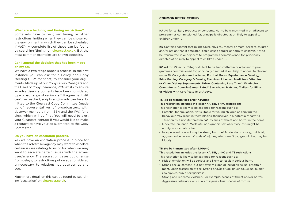### 30 WELCOME TO CLEARCAST

### **What are scheduling and timing restrictions?**

Some ads have to be given timing or other restrictions limiting when they can be shown (or the environment in which they can be scheduled if VoD). A complete list of these can be found by searching 'timing' on [clearcast.co.uk](https://www.clearcast.co.uk/). But the most common examples are shown opposite.

### **Can I appeal the decision that has been made on my ad?**

We have a two stage appeals process. In the first instance you can ask for a Policy and Copy Meeting (PCM for short) to consider your arguments. Made up of our Copy Group Managers and the Head of Copy Clearance, PCM exists to ensure an advertiser's arguments have been considered by a broad range of senior staff. If agreement still can't be reached, scripts and/or ads can be submitted to the Clearcast Copy Committee (made up of representatives of broadcasters, with observer members from ISBA and the IPA) for a view, which will be final. You will need to alert your Clearcast contact if you would like to make a request to have your ad submitted to the Copy Committee.

### **Do you have an escalation process?**

Yes we have an escalation process in place for when the advertiser/agency may want to escalate certain issues relating to us or for when we may want to escalate certain issues with the advertiser/agency. The escalation cases could range from delays, to restrictions put on ads considered unnecessary, to relationships between us and you.

Much more detail on this can be found by searching 'escalation' on [clearcast.co.uk](https://www.clearcast.co.uk/).

### COMMON RESTRICTIONS

**KA** Ad for sanitary products or condoms. Not to be transmitted in or adjacent to programmes commissioned for, principally directed at or likely to appeal to children under 10.

**KB** Contains content that might cause physical, mental or moral harm to children and/or action that, if emulated, could cause danger or harm to children. Not to be transmitted in or adjacent to programmes commissioned for, principally directed at or likely to appeal to children under 16.

**KC** Ad for <Specific Category>. Not to be transmitted in or adjacent to programmes commissioned for, principally directed at or likely to appeal to children under 16. Categories are: Lotteries, Football Pools, Equal-chance Gaming, Prize Gaming, Category D Gaming Machines, Licensed Medicines, Vitamins or Other Dietary Supplements, Drinks Containing Less Than 1.2% Alcohol, Computer or Console Games Rated 15 or Above, Matches, Trailers for Films or Videos with Certificate 15 or Above.

### **TS (To be transmitted after 7.30pm)**

This restriction includes the lesser KA, KB, or KC restrictions This restriction is likely to be assigned for reasons such as:

- Potential for emulation. Not suitable for young children as copying the behaviour may result in them placing themselves in a potentially harmful situation (but not life threatening). Scenes of threat and horror in the home.
- Moderate innuendo. Moderate, non-graphic sexual activity, this might be nudity in a sexual context.
- Interpersonal contact may be strong but brief. Moderate or strong, but brief, aggressive behaviour. Visuals of injuries, which aren't too graphic but may be bloody.

### **TN (to be transmitted after 9.00pm)**

### This restriction includes the lesser KA, KB, or KC and TS restrictions

This restriction is likely to be assigned for reasons such as:

- Risk of emulation will be serious and likely to result in serious harm.
- Strong sexual content (but not overtly graphic) including sexual entertainment. Open discussion of sex. Strong and/or crude innuendo. Sexual nudity (no nipples/pubic hair/genitalia).
- Strong and repeated violence. For example, scenes of threat and/or horror. Aggressive behaviour or visuals of injuries, brief scenes of torture.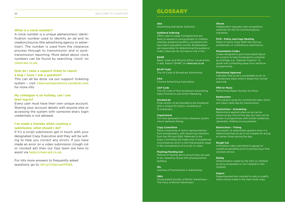### **What is a clock number?**

A clock number is a unique alphanumeric identification number used to identify an ad and its creators/source (the advertising agency or advertiser). The number is used from the clearance process through to transmission and in posttransmission reporting. More detail about clock numbers can be found by searching 'clock' on [clearcast.co.uk](https://www.clearcast.co.uk/).

### **How do I raise a support ticket to report a bug / issue / ask a question?**

This can all be done via our support ticketing system – visit [clearcastoperations.zendesk.com](https://clearcastoperations.zendesk.com/hc/en-us) for more info.

### **My colleague is on holiday, can I use their log-in?**

Every user must have their own unique account. Sharing your account details with anyone else or accessing the system with someone else's login credentials is not allowed.

### **I've made a mistake when creating a submission, what should I do?**

If it's a script submission get in touch with your designated Copy Executive and they will be willing to help you correct any errors. If you have made an error on a video submission (rough cut or clocked ad) then our Ops team are here to assist via [help@clearcast.co.uk](mailto:help%40clearcast.co.uk?subject=).

For lots more answers to frequently asked questions, go to: [bit.ly/ClearcastFAQS](http://bit.ly/ClearcastFAQS).

### GLOSSARY

### **ASA**

Advertising Standards Authority

### **Audience Indexing**

Often used to judge if programmes are likely to appeal to young people or children, whereby audience profile is compared with equivalent population profile. Broadcasters are responsible for determining the audience index; Clearcast do not have a role in this.

### **BAME**

Black, Asian and Minority Ethnic visual artists in ads. Search 'BAME' on clearcast.co.uk

**BCAP Code** The UK Code of Broadcast Advertising

**CAA** Cinema Advertising Association

**CAP Code** The UK Code of Non-broadcast Advertising, Sales Promotion and Direct Marketing

### **Clocked ad** Final version of ad intended to be broadcast with a unique ID (clock), consisting of 15 characters.

**CopyCentral** Our next generation online clearance system which replaced Adway.

### **Copy Committee**

Panel comprising of senior representatives from broadcasters, with observing members from the IPA and ISBA. Referrals to the Copy Committee are made only in exceptional circumstances and it is the final possible stage in the consideration of a script or video.

#### **Flashing/Harding test**

Method of testing ads to ensure they are safe to be viewed by those with photosensitive epilepsy.

**IPA**

#### Institute of Practitioners in Advertising

### **ISBA**

Incorporated Society of British Advertisers – The Voice of British Advertisers

### **Ofcom**

Independent regulator and competition authority for the UK communications industries.

#### **PCM – Policy and Copy Meeting**

Panel of senior Copy Staff who discuss problematic or contentious submissions.

### **Presentation Codes**

Codes designed to give more detail about ad content to help broadcasters schedule accordingly, e.g. "features firearms" to guide with scheduling away from sensitive programming.

#### **Provisional Approval**

Indicates that an ad is acceptable to air on a temporary basis while it awaits full, formal approval.

### **PRS for Music**

Performing Rights Society for Music

### **Radiocentre**

The industry body for commercial radio which pre-clears radio ads for transmission.

### **Restrictions – Scheduling**

Restrictions applied when an ad can be shown at any time of the day, but may not be shown in programmes with certain audiences (generally children/young people).

#### **Restrictions – Timing**

Succession of watersheds applied when it is determined that an ad is not suitable for airing at certain times during the day.

### **Rough Cut**

Unfinished video submitted to gauge its overall acceptability prior to producing a final clocked version.

#### **Ruling**

Determination made by the ASA on whether an ad is acceptable or not (Upheld or Not Upheld).

### **Supers**

Superimposed text overlaid on ads to qualify claims being made in the main body copy.